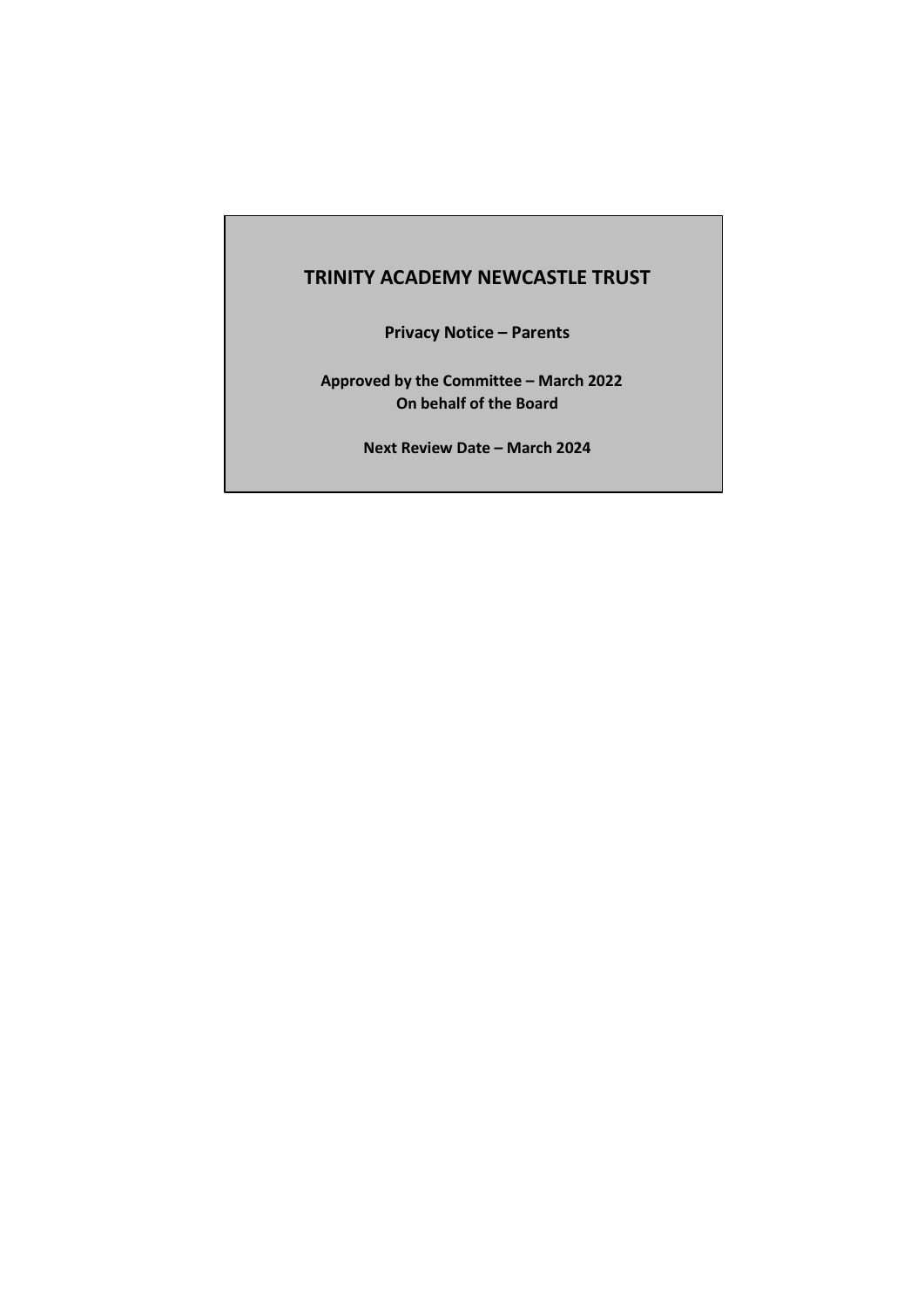## **TRINITY ACADEMY NEWCASTLE TRUST**

**Privacy Notice – Parents** 

**Approved by the Committee – March 2022 On behalf of the Board**

**Next Review Date – March 2024**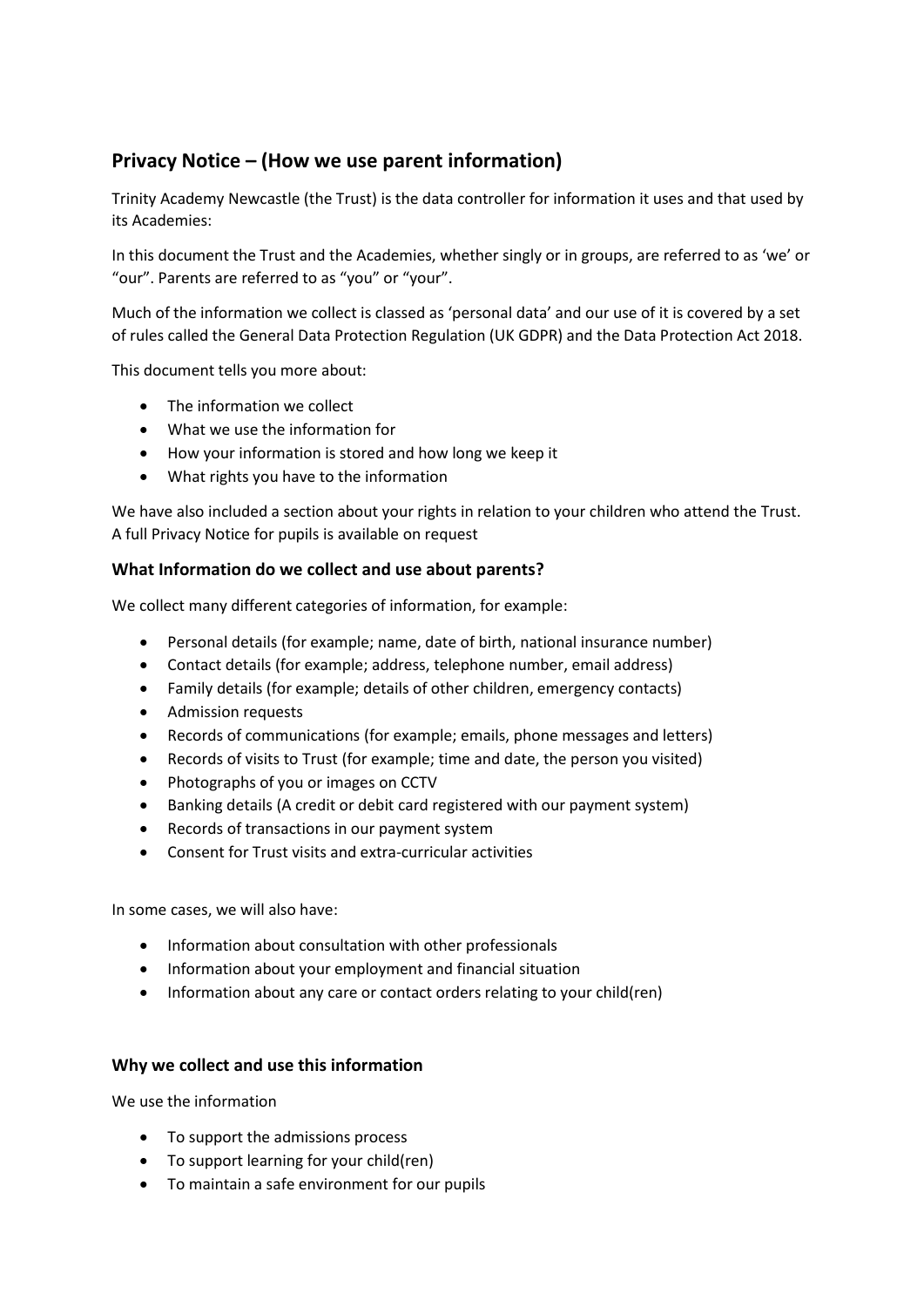# **Privacy Notice – (How we use parent information)**

Trinity Academy Newcastle (the Trust) is the data controller for information it uses and that used by its Academies:

In this document the Trust and the Academies, whether singly or in groups, are referred to as 'we' or "our". Parents are referred to as "you" or "your".

Much of the information we collect is classed as 'personal data' and our use of it is covered by a set of rules called the General Data Protection Regulation (UK GDPR) and the Data Protection Act 2018.

This document tells you more about:

- The information we collect
- What we use the information for
- How your information is stored and how long we keep it
- What rights you have to the information

We have also included a section about your rights in relation to your children who attend the Trust. A full Privacy Notice for pupils is available on request

## **What Information do we collect and use about parents?**

We collect many different categories of information, for example:

- Personal details (for example; name, date of birth, national insurance number)
- Contact details (for example; address, telephone number, email address)
- Family details (for example; details of other children, emergency contacts)
- Admission requests
- Records of communications (for example; emails, phone messages and letters)
- Records of visits to Trust (for example; time and date, the person you visited)
- Photographs of you or images on CCTV
- Banking details (A credit or debit card registered with our payment system)
- Records of transactions in our payment system
- Consent for Trust visits and extra-curricular activities

In some cases, we will also have:

- Information about consultation with other professionals
- Information about your employment and financial situation
- Information about any care or contact orders relating to your child(ren)

## **Why we collect and use this information**

We use the information

- To support the admissions process
- To support learning for your child(ren)
- To maintain a safe environment for our pupils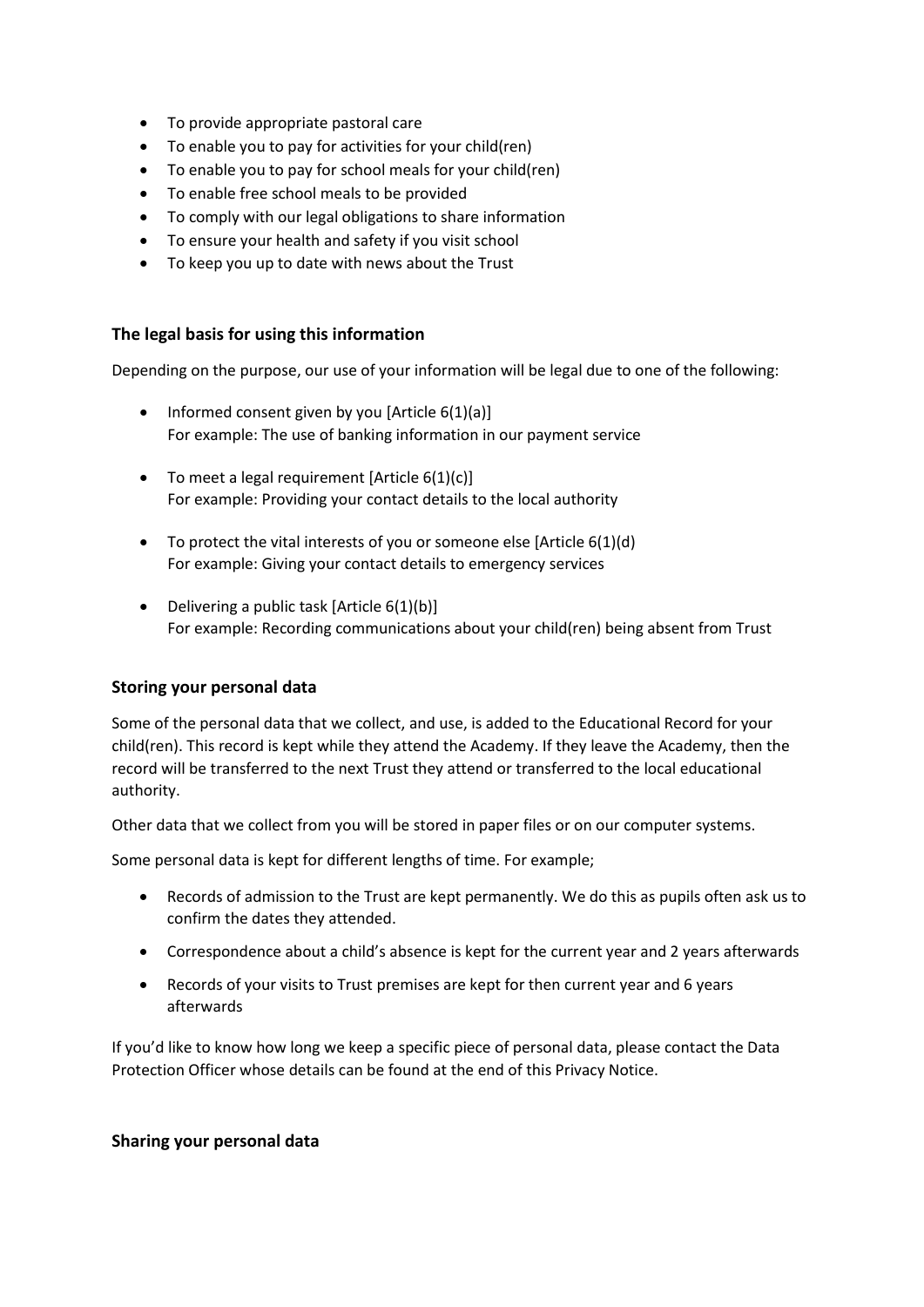- To provide appropriate pastoral care
- To enable you to pay for activities for your child(ren)
- To enable you to pay for school meals for your child(ren)
- To enable free school meals to be provided
- To comply with our legal obligations to share information
- To ensure your health and safety if you visit school
- To keep you up to date with news about the Trust

## **The legal basis for using this information**

Depending on the purpose, our use of your information will be legal due to one of the following:

- Informed consent given by you [Article  $6(1)(a)$ ] For example: The use of banking information in our payment service
- $\bullet$  To meet a legal requirement [Article 6(1)(c)] For example: Providing your contact details to the local authority
- $\bullet$  To protect the vital interests of you or someone else [Article 6(1)(d) For example: Giving your contact details to emergency services
- Delivering a public task [Article  $6(1)(b)$ ] For example: Recording communications about your child(ren) being absent from Trust

## **Storing your personal data**

Some of the personal data that we collect, and use, is added to the Educational Record for your child(ren). This record is kept while they attend the Academy. If they leave the Academy, then the record will be transferred to the next Trust they attend or transferred to the local educational authority.

Other data that we collect from you will be stored in paper files or on our computer systems.

Some personal data is kept for different lengths of time. For example;

- Records of admission to the Trust are kept permanently. We do this as pupils often ask us to confirm the dates they attended.
- Correspondence about a child's absence is kept for the current year and 2 years afterwards
- Records of your visits to Trust premises are kept for then current year and 6 years afterwards

If you'd like to know how long we keep a specific piece of personal data, please contact the Data Protection Officer whose details can be found at the end of this Privacy Notice.

## **Sharing your personal data**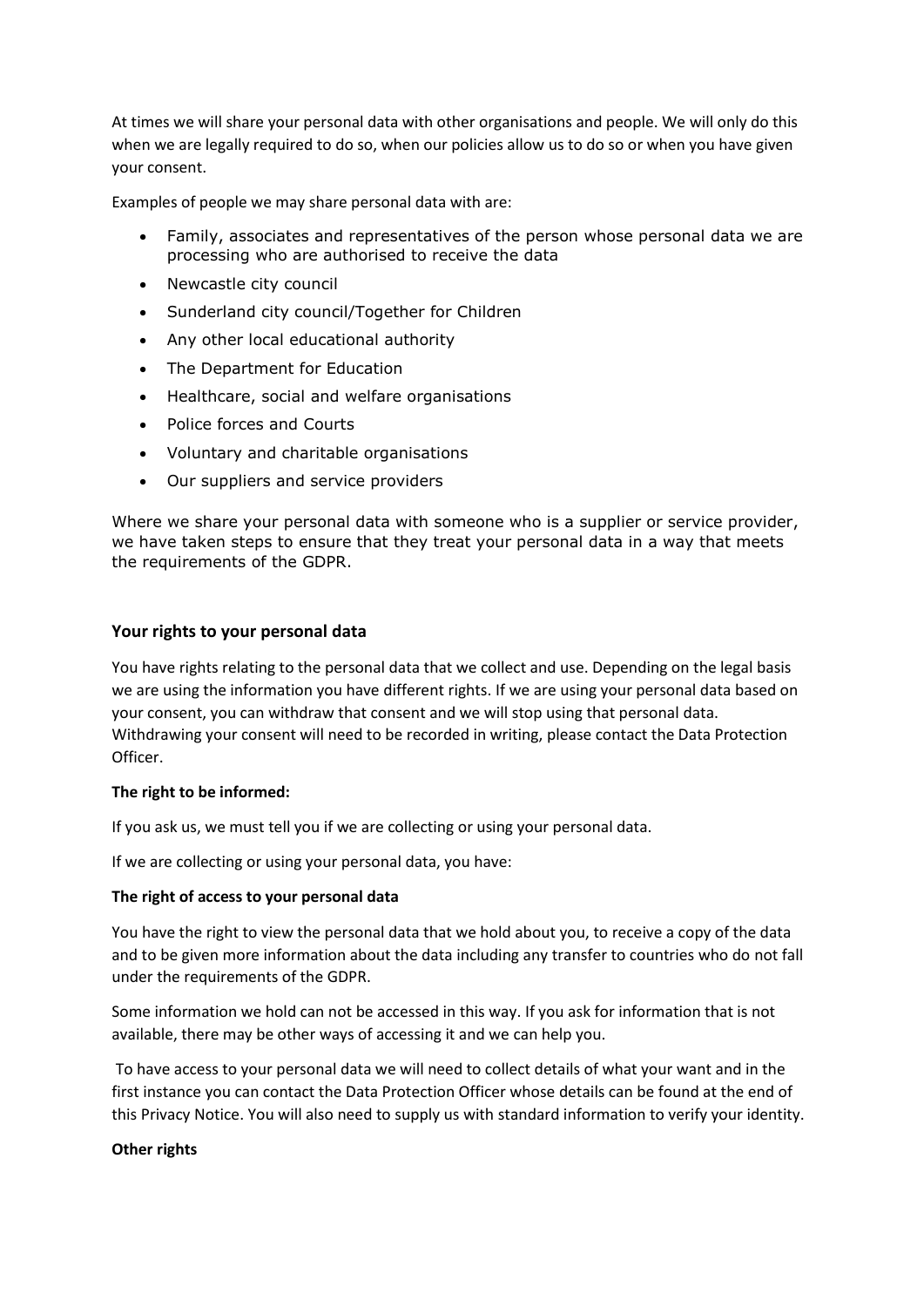At times we will share your personal data with other organisations and people. We will only do this when we are legally required to do so, when our policies allow us to do so or when you have given your consent.

Examples of people we may share personal data with are:

- Family, associates and representatives of the person whose personal data we are processing who are authorised to receive the data
- Newcastle city council
- Sunderland city council/Together for Children
- Any other local educational authority
- The Department for Education
- Healthcare, social and welfare organisations
- Police forces and Courts
- Voluntary and charitable organisations
- Our suppliers and service providers

Where we share your personal data with someone who is a supplier or service provider, we have taken steps to ensure that they treat your personal data in a way that meets the requirements of the GDPR.

#### **Your rights to your personal data**

You have rights relating to the personal data that we collect and use. Depending on the legal basis we are using the information you have different rights. If we are using your personal data based on your consent, you can withdraw that consent and we will stop using that personal data. Withdrawing your consent will need to be recorded in writing, please contact the Data Protection Officer.

#### **The right to be informed:**

If you ask us, we must tell you if we are collecting or using your personal data.

If we are collecting or using your personal data, you have:

#### **The right of access to your personal data**

You have the right to view the personal data that we hold about you, to receive a copy of the data and to be given more information about the data including any transfer to countries who do not fall under the requirements of the GDPR.

Some information we hold can not be accessed in this way. If you ask for information that is not available, there may be other ways of accessing it and we can help you.

To have access to your personal data we will need to collect details of what your want and in the first instance you can contact the Data Protection Officer whose details can be found at the end of this Privacy Notice. You will also need to supply us with standard information to verify your identity.

#### **Other rights**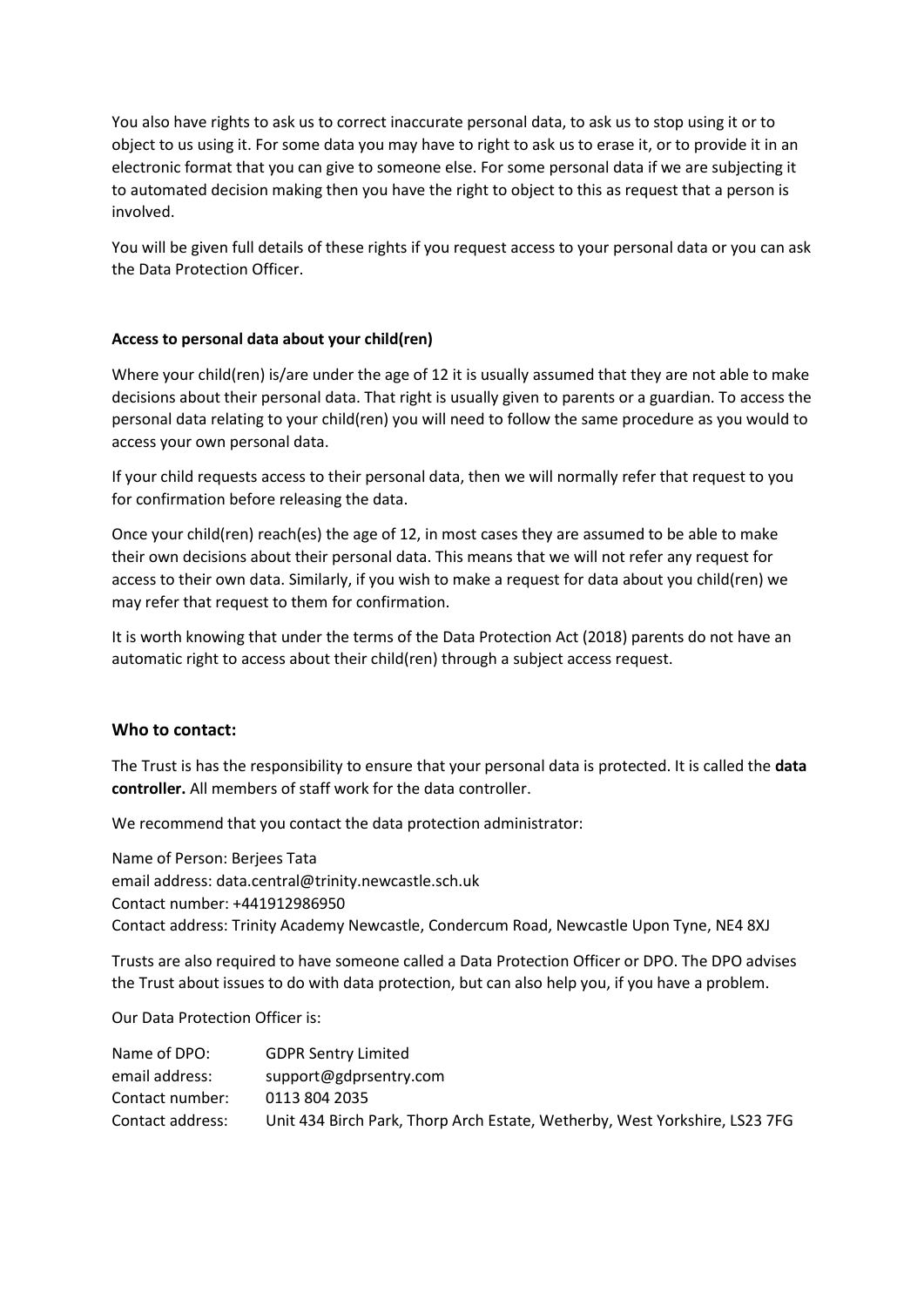You also have rights to ask us to correct inaccurate personal data, to ask us to stop using it or to object to us using it. For some data you may have to right to ask us to erase it, or to provide it in an electronic format that you can give to someone else. For some personal data if we are subjecting it to automated decision making then you have the right to object to this as request that a person is involved.

You will be given full details of these rights if you request access to your personal data or you can ask the Data Protection Officer.

## **Access to personal data about your child(ren)**

Where your child(ren) is/are under the age of 12 it is usually assumed that they are not able to make decisions about their personal data. That right is usually given to parents or a guardian. To access the personal data relating to your child(ren) you will need to follow the same procedure as you would to access your own personal data.

If your child requests access to their personal data, then we will normally refer that request to you for confirmation before releasing the data.

Once your child(ren) reach(es) the age of 12, in most cases they are assumed to be able to make their own decisions about their personal data. This means that we will not refer any request for access to their own data. Similarly, if you wish to make a request for data about you child(ren) we may refer that request to them for confirmation.

It is worth knowing that under the terms of the Data Protection Act (2018) parents do not have an automatic right to access about their child(ren) through a subject access request.

## **Who to contact:**

The Trust is has the responsibility to ensure that your personal data is protected. It is called the **data controller.** All members of staff work for the data controller.

We recommend that you contact the data protection administrator:

Name of Person: Berjees Tata email address: data.central@trinity.newcastle.sch.uk Contact number: +441912986950 Contact address: Trinity Academy Newcastle, Condercum Road, Newcastle Upon Tyne, NE4 8XJ

Trusts are also required to have someone called a Data Protection Officer or DPO. The DPO advises the Trust about issues to do with data protection, but can also help you, if you have a problem.

Our Data Protection Officer is:

| Name of DPO:     | <b>GDPR Sentry Limited</b>                                                 |
|------------------|----------------------------------------------------------------------------|
| email address:   | support@gdprsentry.com                                                     |
| Contact number:  | 0113 804 2035                                                              |
| Contact address: | Unit 434 Birch Park, Thorp Arch Estate, Wetherby, West Yorkshire, LS23 7FG |